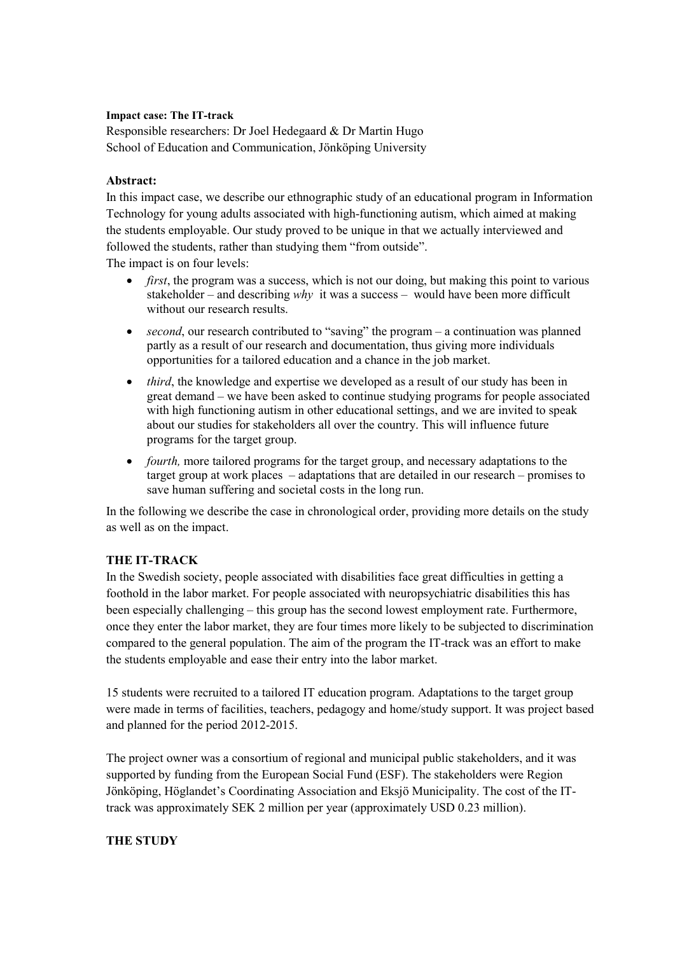### **Impact case: The IT-track**

Responsible researchers: Dr Joel Hedegaard & Dr Martin Hugo School of Education and Communication, Jönköping University

## **Abstract:**

In this impact case, we describe our ethnographic study of an educational program in Information Technology for young adults associated with high-functioning autism, which aimed at making the students employable. Our study proved to be unique in that we actually interviewed and followed the students, rather than studying them "from outside".

The impact is on four levels:

- *first*, the program was a success, which is not our doing, but making this point to various stakeholder – and describing *why* it was a success – would have been more difficult without our research results.
- *second*, our research contributed to "saving" the program a continuation was planned partly as a result of our research and documentation, thus giving more individuals opportunities for a tailored education and a chance in the job market.
- *third*, the knowledge and expertise we developed as a result of our study has been in great demand – we have been asked to continue studying programs for people associated with high functioning autism in other educational settings, and we are invited to speak about our studies for stakeholders all over the country. This will influence future programs for the target group.
- *fourth*, more tailored programs for the target group, and necessary adaptations to the target group at work places – adaptations that are detailed in our research – promises to save human suffering and societal costs in the long run.

In the following we describe the case in chronological order, providing more details on the study as well as on the impact.

# **THE IT-TRACK**

In the Swedish society, people associated with disabilities face great difficulties in getting a foothold in the labor market. For people associated with neuropsychiatric disabilities this has been especially challenging – this group has the second lowest employment rate. Furthermore, once they enter the labor market, they are four times more likely to be subjected to discrimination compared to the general population. The aim of the program the IT-track was an effort to make the students employable and ease their entry into the labor market.

15 students were recruited to a tailored IT education program. Adaptations to the target group were made in terms of facilities, teachers, pedagogy and home/study support. It was project based and planned for the period 2012-2015.

The project owner was a consortium of regional and municipal public stakeholders, and it was supported by funding from the European Social Fund (ESF). The stakeholders were Region Jönköping, Höglandet's Coordinating Association and Eksjö Municipality. The cost of the ITtrack was approximately SEK 2 million per year (approximately USD 0.23 million).

# **THE STUDY**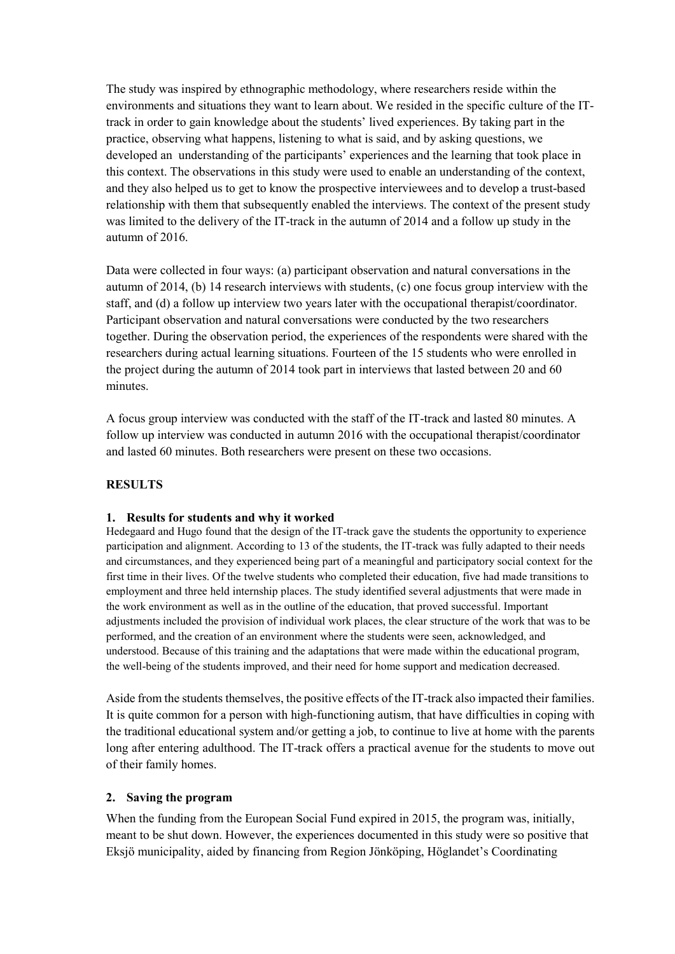The study was inspired by ethnographic methodology, where researchers reside within the environments and situations they want to learn about. We resided in the specific culture of the ITtrack in order to gain knowledge about the students' lived experiences. By taking part in the practice, observing what happens, listening to what is said, and by asking questions, we developed an understanding of the participants' experiences and the learning that took place in this context. The observations in this study were used to enable an understanding of the context, and they also helped us to get to know the prospective interviewees and to develop a trust-based relationship with them that subsequently enabled the interviews. The context of the present study was limited to the delivery of the IT-track in the autumn of 2014 and a follow up study in the autumn of 2016.

Data were collected in four ways: (a) participant observation and natural conversations in the autumn of 2014, (b) 14 research interviews with students, (c) one focus group interview with the staff, and (d) a follow up interview two years later with the occupational therapist/coordinator. Participant observation and natural conversations were conducted by the two researchers together. During the observation period, the experiences of the respondents were shared with the researchers during actual learning situations. Fourteen of the 15 students who were enrolled in the project during the autumn of 2014 took part in interviews that lasted between 20 and 60 minutes.

A focus group interview was conducted with the staff of the IT-track and lasted 80 minutes. A follow up interview was conducted in autumn 2016 with the occupational therapist/coordinator and lasted 60 minutes. Both researchers were present on these two occasions.

# **RESULTS**

#### **1. Results for students and why it worked**

Hedegaard and Hugo found that the design of the IT-track gave the students the opportunity to experience participation and alignment. According to 13 of the students, the IT-track was fully adapted to their needs and circumstances, and they experienced being part of a meaningful and participatory social context for the first time in their lives. Of the twelve students who completed their education, five had made transitions to employment and three held internship places. The study identified several adjustments that were made in the work environment as well as in the outline of the education, that proved successful. Important adjustments included the provision of individual work places, the clear structure of the work that was to be performed, and the creation of an environment where the students were seen, acknowledged, and understood. Because of this training and the adaptations that were made within the educational program, the well-being of the students improved, and their need for home support and medication decreased.

Aside from the students themselves, the positive effects of the IT-track also impacted their families. It is quite common for a person with high-functioning autism, that have difficulties in coping with the traditional educational system and/or getting a job, to continue to live at home with the parents long after entering adulthood. The IT-track offers a practical avenue for the students to move out of their family homes.

#### **2. Saving the program**

When the funding from the European Social Fund expired in 2015, the program was, initially, meant to be shut down. However, the experiences documented in this study were so positive that Eksjö municipality, aided by financing from Region Jönköping, Höglandet's Coordinating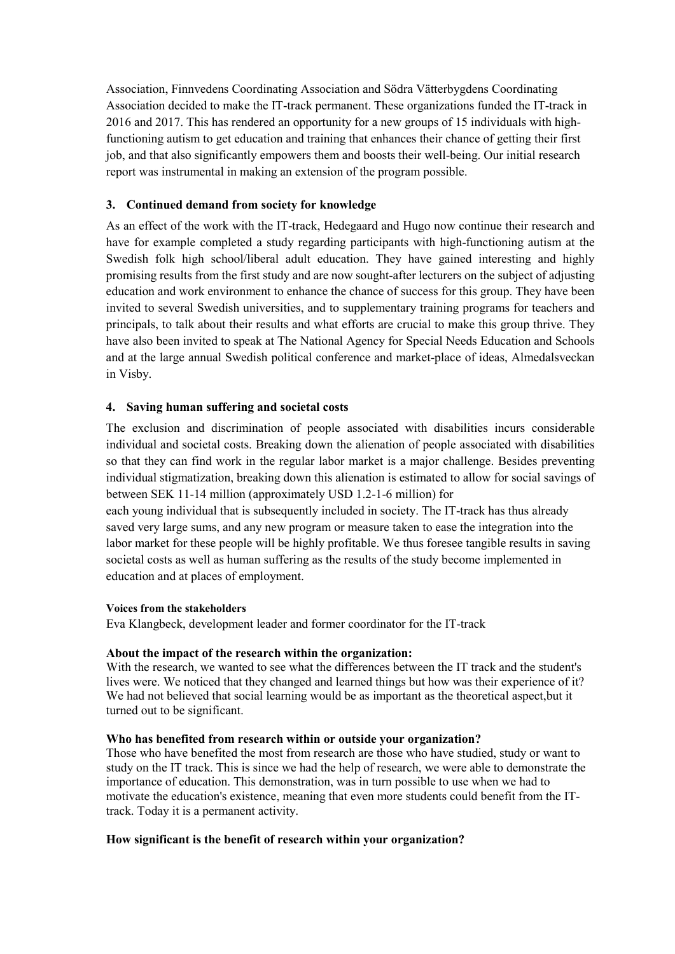Association, Finnvedens Coordinating Association and Södra Vätterbygdens Coordinating Association decided to make the IT-track permanent. These organizations funded the IT-track in 2016 and 2017. This has rendered an opportunity for a new groups of 15 individuals with highfunctioning autism to get education and training that enhances their chance of getting their first job, and that also significantly empowers them and boosts their well-being. Our initial research report was instrumental in making an extension of the program possible.

# **3. Continued demand from society for knowledge**

As an effect of the work with the IT-track, Hedegaard and Hugo now continue their research and have for example completed a study regarding participants with high-functioning autism at the Swedish folk high school/liberal adult education. They have gained interesting and highly promising results from the first study and are now sought-after lecturers on the subject of adjusting education and work environment to enhance the chance of success for this group. They have been invited to several Swedish universities, and to supplementary training programs for teachers and principals, to talk about their results and what efforts are crucial to make this group thrive. They have also been invited to speak at The National Agency for Special Needs Education and Schools and at the large annual Swedish political conference and market-place of ideas, Almedalsveckan in Visby.

## **4. Saving human suffering and societal costs**

The exclusion and discrimination of people associated with disabilities incurs considerable individual and societal costs. Breaking down the alienation of people associated with disabilities so that they can find work in the regular labor market is a major challenge. Besides preventing individual stigmatization, breaking down this alienation is estimated to allow for social savings of between SEK 11-14 million (approximately USD 1.2-1-6 million) for

each young individual that is subsequently included in society. The IT-track has thus already saved very large sums, and any new program or measure taken to ease the integration into the labor market for these people will be highly profitable. We thus foresee tangible results in saving societal costs as well as human suffering as the results of the study become implemented in education and at places of employment.

#### **Voices from the stakeholders**

Eva Klangbeck, development leader and former coordinator for the IT-track

#### **About the impact of the research within the organization:**

With the research, we wanted to see what the differences between the IT track and the student's lives were. We noticed that they changed and learned things but how was their experience of it? We had not believed that social learning would be as important as the theoretical aspect,but it turned out to be significant.

#### **Who has benefited from research within or outside your organization?**

Those who have benefited the most from research are those who have studied, study or want to study on the IT track. This is since we had the help of research, we were able to demonstrate the importance of education. This demonstration, was in turn possible to use when we had to motivate the education's existence, meaning that even more students could benefit from the ITtrack. Today it is a permanent activity.

#### **How significant is the benefit of research within your organization?**